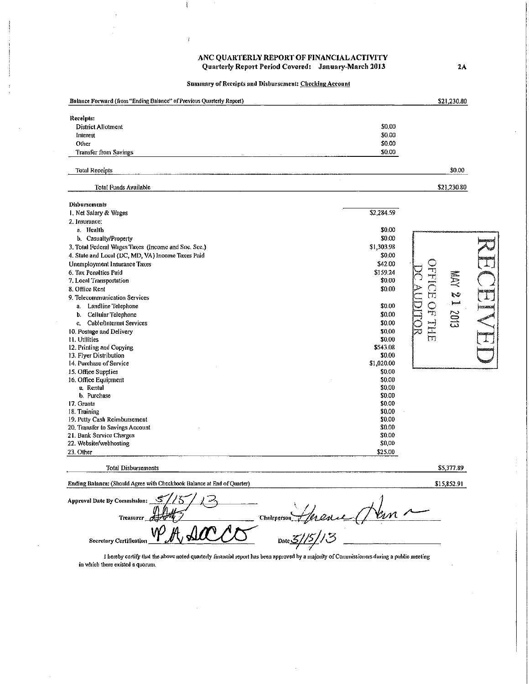ANC QUARTERLY REPORT OF FINANCIAL ACTIVITY Quarterly Report Period Covered: January-March 2013

Summary of Receipts and Disbursement: Checking Account

| Balance Forward (from "Ending Balance" of Previous Quarterly Report) | \$21,230.80      |                                 |                 |  |
|----------------------------------------------------------------------|------------------|---------------------------------|-----------------|--|
| Receipts:                                                            |                  |                                 |                 |  |
| District Allotment                                                   | \$0.00           |                                 |                 |  |
| Interest                                                             | \$0.00           |                                 |                 |  |
| Other                                                                | \$0.00           |                                 |                 |  |
| <b>Transfer from Savings</b>                                         | \$0.00           |                                 |                 |  |
| <b>Total Reccipts</b>                                                |                  | \$0.00                          |                 |  |
| Total Funds Available                                                |                  | \$21,230.80                     |                 |  |
| Disbursements                                                        |                  |                                 |                 |  |
| 1. Net Salary & Wages                                                | \$2,284.59       |                                 |                 |  |
| 2. Insurance:                                                        |                  |                                 |                 |  |
| a. Health                                                            | \$0.00           |                                 |                 |  |
| b. Casualty/Property                                                 | \$0.00           |                                 |                 |  |
| 3. Total Federal Wages Taxes (Income and Soc. Sec.)                  | \$1,303.98       |                                 |                 |  |
| 4. State and Local (DC, MD, VA) Income Taxes Paid                    | \$0.00           |                                 |                 |  |
| Unemployment Insurance Taxes                                         | \$42.00          |                                 |                 |  |
| 6. Tax Penalties Paid                                                | \$159.24         | <b>FEEC</b>                     |                 |  |
| 7. Local Transportation                                              | \$0.00           | 2 YAW                           |                 |  |
| 8. Office Rent                                                       | \$0.00           |                                 |                 |  |
| 9. Telecommunication Services                                        |                  | $\mathbb{T}$                    |                 |  |
| Landline Telephone<br>â.                                             | \$0.00           | $\mathbb{C}$<br><b>Location</b> | <b>prosecut</b> |  |
| Cellular Telephone<br>b.                                             | \$0.00           | <b>SOC</b>                      |                 |  |
| Cable/Internet Services<br>$c_{\rm s}$                               | \$0.00           |                                 |                 |  |
| 10. Postage and Delivery                                             | \$0.00           | li<br>Hi                        |                 |  |
| 11. Utilities                                                        | \$0.00           |                                 |                 |  |
| 12. Printing and Copying                                             | \$543.08         |                                 |                 |  |
| 13. Flyer Distribution                                               | \$0.00           |                                 |                 |  |
| 14. Purchase of Service                                              | \$1,020.00       |                                 |                 |  |
| 15. Office Supplies                                                  | \$0.00           |                                 |                 |  |
| 16. Office Equipment                                                 | \$0.00           |                                 |                 |  |
| a. Rental                                                            | \$0,00           |                                 |                 |  |
| b. Purchase                                                          | \$0.00           |                                 |                 |  |
| 17. Grants                                                           | \$0.00           |                                 |                 |  |
| 18. Training                                                         | \$0.00           |                                 |                 |  |
| 19. Petty Cash Reimbursement                                         | \$0.00<br>\$0.00 |                                 |                 |  |
| 20. Transfer to Savings Account<br>21. Bank Service Charges          | \$0.00           |                                 |                 |  |
| 22. Website/webhosting                                               | \$0,00           |                                 |                 |  |
| 23. Other                                                            | \$25.00          |                                 |                 |  |
| <b>Total Disbursements</b>                                           | \$5,377.89       |                                 |                 |  |

\$15,852.91

Ending Balance: (Should Agree with Checkbook Balance at End of Quarter)

**Approval Date By Commission: Chairpgrson Treasure**  $_{\text{Date}}$ Secretary Certification

I hereby certify that the above noted quarterly financial report has been approved by a majority of Commissioners during a public meeting in which there existed a quorum.

 $2\mathrm{\AA}$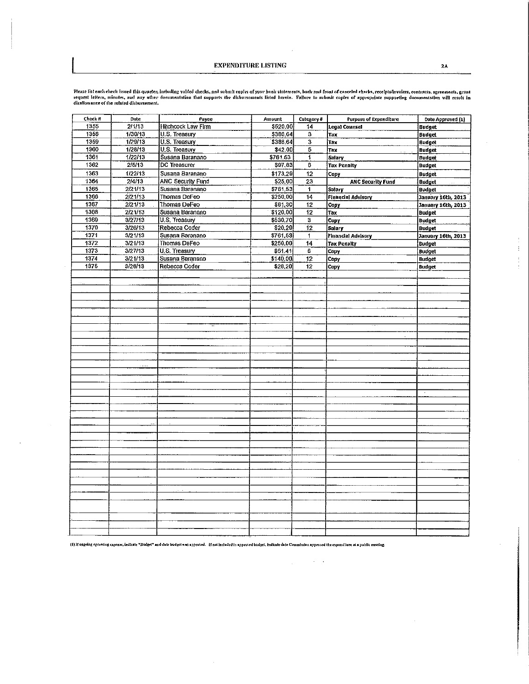÷  $\bar{\Gamma}$  $\bar{\xi}$ ÷.

Please list each check issued this quarter, including voided checks, and submit topies of your bank statements, back and front of canceled checks, receipts/invoices, contracts, sgreenents, grant<br>request letters, minutes, a

| Check #<br>1355 | Date<br>2/1/13     | Payee<br><b>Hitchcock Law Firm</b>    | Amount<br>\$520.00   | Category#               | <b>Purpose of Expenditure</b> | Date Approved (1)  |
|-----------------|--------------------|---------------------------------------|----------------------|-------------------------|-------------------------------|--------------------|
| 1358            |                    |                                       |                      | 14                      | Lega) Counsel                 | <b>Budget</b>      |
| 1359            | 1/30/13<br>1/29/13 | U.S. Treasury<br><b>U.S. Treasury</b> | \$386,64<br>\$386,64 | 3                       | Tax                           | <b>Budget</b>      |
| 1360            |                    | U.S. Treasury                         |                      | $\overline{\mathbf{3}}$ | Tax                           | <b>Budget</b>      |
| 1361            | 1/28/13<br>1/22/13 |                                       | \$42.00              | 5<br>1                  | Tax                           | Budget             |
| 1362            | 2/5/13             | Susana Baranano                       | \$761.53             |                         | <b>Salary</b>                 | <b>Budget</b>      |
|                 |                    | <b>DC</b> Treasurer                   | \$97,83              | 6                       | <b>Tax Penalty</b>            | <b>Budget</b>      |
| 1363            | 1/22/13            | Susana Baranano                       | \$173.29             | 12                      | Copy                          | <b>Budget</b>      |
| 1364            | 2/4/13             | <b>ANC Security Fund</b>              | \$25.00              | 23                      | <b>ANC Security Fund</b>      | <b>Budget</b>      |
| 1365            | 2/21/13            | Susana Baranano                       | \$761,53             | $\mathbf{1}$            | Salary                        | <b>Budget</b>      |
| 1366            | 2/21/13            | Thomas DeFeo                          | \$250,00             | 14                      | <b>Financial Advisory</b>     | January 16th, 2013 |
| 1367            | 2/21/13            | Thomas DeFeo                          | \$61,30              | 12                      | Copy                          | January 16th, 2013 |
| 1368            | 2/21/13            | Susana Baranano                       | \$120.00             | 12                      | Tax                           | <b>Budget</b>      |
| 1369            | 3/27/13            | U.S. Treasury                         | \$530.70             | 3                       | Copy                          | <b>Budget</b>      |
| 1370            | 3/26/13            | Rebecca Coder                         | \$20.29              | 12                      | Salary                        | <b>Budget</b>      |
| 1371            | 3/21/13            | Susana Baranano                       | \$761,53             | $\mathbf{1}$            | Financial Advisory            | January 16th, 2013 |
| 1372            | 3/21/13            | Thomas DeFeo                          | \$250.00             | 14                      | <b>Tax Penalty</b>            | <b>Budget</b>      |
| 1373            | 3/27/13            | U.S. Treasury                         | \$61.41              | 6                       | Copy                          | <b>Budget</b>      |
| 1374            | 3/21/13            | Susana Baranano                       | \$140.00             | 12                      | Copy                          | <b>Budget</b>      |
| 1375            | 3/26/13            | Rebecca Coder                         | \$28,20              | 12                      | Copy                          | <b>Budget</b>      |
|                 |                    |                                       |                      |                         |                               |                    |
|                 |                    |                                       |                      |                         |                               |                    |
|                 |                    |                                       |                      |                         |                               |                    |
|                 |                    |                                       |                      |                         |                               |                    |
|                 |                    |                                       |                      |                         |                               |                    |
|                 |                    |                                       |                      |                         |                               |                    |
|                 |                    |                                       |                      |                         |                               |                    |
|                 |                    |                                       |                      |                         |                               |                    |
|                 |                    |                                       |                      |                         |                               |                    |
|                 |                    |                                       |                      |                         |                               |                    |
|                 |                    |                                       |                      |                         |                               |                    |
|                 |                    |                                       |                      |                         |                               |                    |
|                 |                    |                                       |                      |                         |                               |                    |
|                 |                    |                                       |                      |                         |                               |                    |
|                 |                    |                                       |                      |                         |                               |                    |
|                 |                    |                                       |                      |                         |                               |                    |
|                 |                    |                                       |                      |                         |                               |                    |
|                 |                    |                                       |                      |                         |                               |                    |
|                 |                    |                                       |                      |                         |                               |                    |
|                 |                    |                                       |                      |                         |                               |                    |
|                 |                    |                                       |                      |                         |                               |                    |
|                 |                    |                                       |                      |                         |                               |                    |
|                 |                    |                                       |                      |                         |                               |                    |
|                 |                    |                                       |                      |                         |                               |                    |
|                 |                    |                                       |                      |                         |                               |                    |
|                 |                    |                                       |                      |                         |                               |                    |
|                 |                    |                                       |                      |                         |                               |                    |
|                 |                    |                                       |                      |                         |                               |                    |
|                 |                    |                                       |                      |                         |                               |                    |
|                 |                    |                                       |                      |                         |                               |                    |
|                 |                    |                                       |                      |                         |                               |                    |
|                 |                    |                                       |                      |                         |                               |                    |
|                 |                    |                                       |                      |                         |                               |                    |
|                 |                    |                                       |                      |                         |                               |                    |
|                 |                    |                                       |                      |                         |                               |                    |

(1) If ongoing operating expense, indicate "Budget" and date budget was approved. If not included in approved budget, indicate the Commission approved the expenditure at a public meeting.

 $\mathcal{L}_{\text{max}}$  , where  $\mathcal{L}_{\text{max}}$